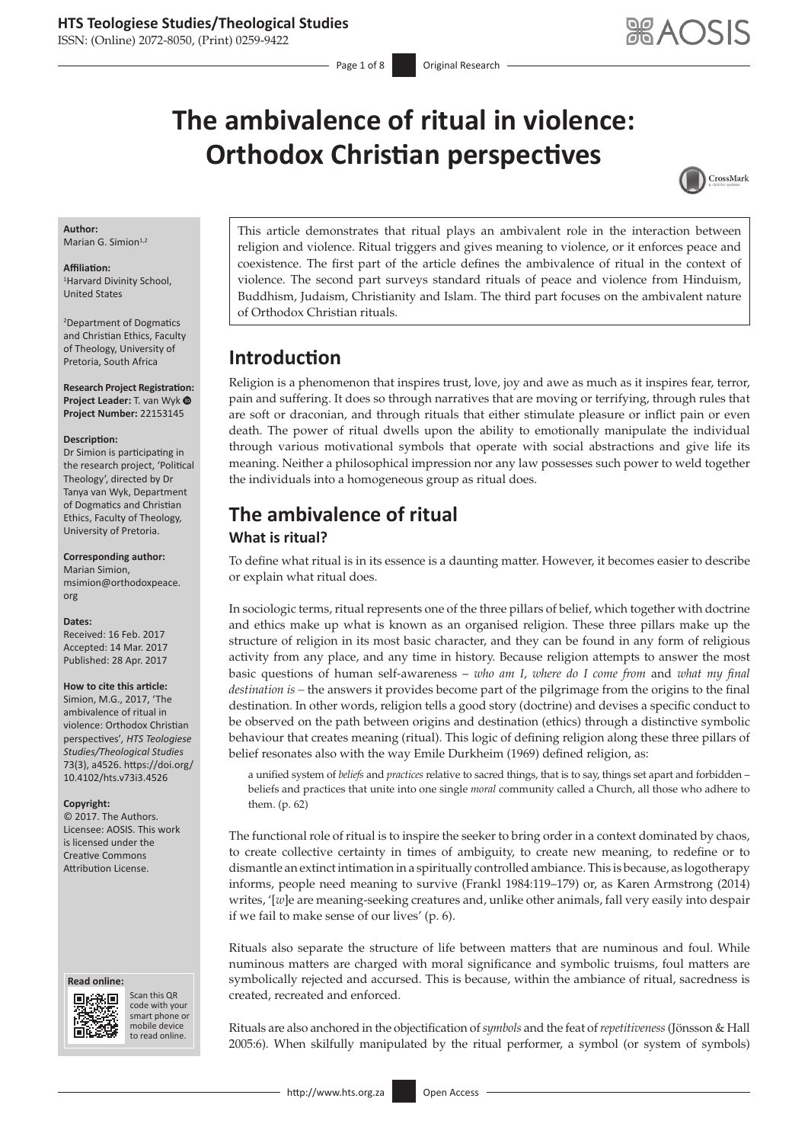ISSN: (Online) 2072-8050, (Print) 0259-9422

Page 1 of 8 Original Research

# **The ambivalence of ritual in violence: Orthodox Christian perspectives**



#### **Author:**

Marian G. Simion<sup>1,2</sup>

#### **Affiliation:**

1 Harvard Divinity School, United States

2 Department of Dogmatics and Christian Ethics, Faculty of Theology, University of Pretoria, South Africa

**Research Project Registration: Project Leader:** T. van Wy[k](http://orcid.org/0000-0001-5309-0546)  **Project Number:** 22153145

#### **Description:**

Dr Simion is participating in the research project, 'Political Theology', directed by Dr Tanya van Wyk, Department of Dogmatics and Christian Ethics, Faculty of Theology, University of Pretoria.

**Corresponding author:** Marian Simion, [msimion@orthodoxpeace.](mailto:msimion@orthodoxpeace.org) [org](mailto:msimion@orthodoxpeace.org)

#### **Dates:**

Received: 16 Feb. 2017 Accepted: 14 Mar. 2017 Published: 28 Apr. 2017

#### **How to cite this article:**

Simion, M.G., 2017, 'The ambivalence of ritual in violence: Orthodox Christian perspectives'*, HTS Teologiese Studies/Theological Studies* 73(3), a4526. [https://doi.org/](https://doi.org/10.4102/hts.v73i3.4526) [10.4102/hts.v73i3.4526](https://doi.org/10.4102/hts.v73i3.4526)

#### **Copyright:**

© 2017. The Authors. Licensee: AOSIS. This work is licensed under the Creative Commons Attribution License.

#### **Read online: Read**



Scan this QR code with your Scan this QR<br>code with your<br>smart phone or<br>mobile device mobile device to read online. to read online.

This article demonstrates that ritual plays an ambivalent role in the interaction between religion and violence. Ritual triggers and gives meaning to violence, or it enforces peace and coexistence. The first part of the article defines the ambivalence of ritual in the context of violence. The second part surveys standard rituals of peace and violence from Hinduism, Buddhism, Judaism, Christianity and Islam. The third part focuses on the ambivalent nature of Orthodox Christian rituals.

# **Introduction**

Religion is a phenomenon that inspires trust, love, joy and awe as much as it inspires fear, terror, pain and suffering. It does so through narratives that are moving or terrifying, through rules that are soft or draconian, and through rituals that either stimulate pleasure or inflict pain or even death. The power of ritual dwells upon the ability to emotionally manipulate the individual through various motivational symbols that operate with social abstractions and give life its meaning. Neither a philosophical impression nor any law possesses such power to weld together the individuals into a homogeneous group as ritual does.

# **The ambivalence of ritual**

### **What is ritual?**

To define what ritual is in its essence is a daunting matter. However, it becomes easier to describe or explain what ritual does.

In sociologic terms, ritual represents one of the three pillars of belief, which together with doctrine and ethics make up what is known as an organised religion. These three pillars make up the structure of religion in its most basic character, and they can be found in any form of religious activity from any place, and any time in history. Because religion attempts to answer the most basic questions of human self-awareness – *who am I*, *where do I come from* and *what my final destination is –* the answers it provides become part of the pilgrimage from the origins to the final destination. In other words, religion tells a good story (doctrine) and devises a specific conduct to be observed on the path between origins and destination (ethics) through a distinctive symbolic behaviour that creates meaning (ritual). This logic of defining religion along these three pillars of belief resonates also with the way Emile Durkheim (1969) defined religion, as:

a unified system of *beliefs* and *practices* relative to sacred things, that is to say, things set apart and forbidden – beliefs and practices that unite into one single *moral* community called a Church, all those who adhere to them. (p. 62)

The functional role of ritual is to inspire the seeker to bring order in a context dominated by chaos, to create collective certainty in times of ambiguity, to create new meaning, to redefine or to dismantle an extinct intimation in a spiritually controlled ambiance. This is because, as logotherapy informs, people need meaning to survive (Frankl 1984:119–179) or, as Karen Armstrong (2014) writes, '[*w*]e are meaning-seeking creatures and, unlike other animals, fall very easily into despair if we fail to make sense of our lives' (p. 6).

Rituals also separate the structure of life between matters that are numinous and foul. While numinous matters are charged with moral significance and symbolic truisms, foul matters are symbolically rejected and accursed. This is because, within the ambiance of ritual, sacredness is created, recreated and enforced.

Rituals are also anchored in the objectification of *symbols* and the feat of *repetitiveness* (Jönsson & Hall 2005:6). When skilfully manipulated by the ritual performer, a symbol (or system of symbols)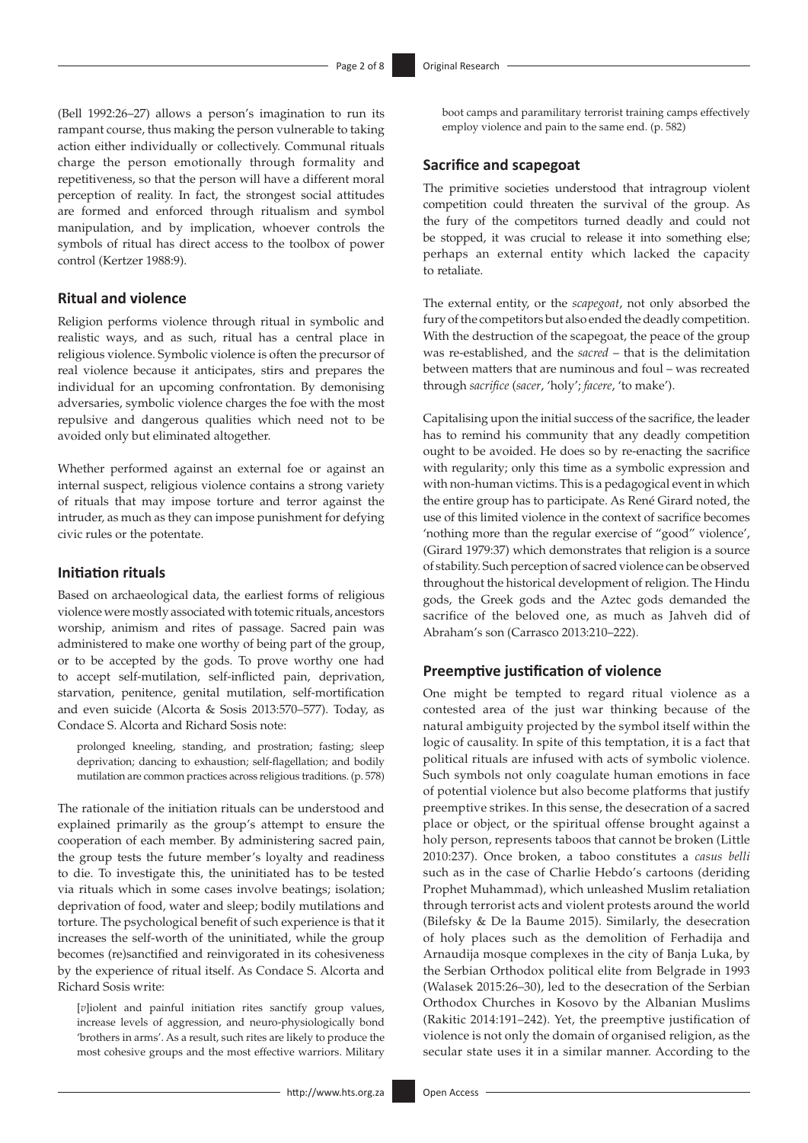(Bell 1992:26–27) allows a person's imagination to run its rampant course, thus making the person vulnerable to taking action either individually or collectively. Communal rituals charge the person emotionally through formality and repetitiveness, so that the person will have a different moral perception of reality. In fact, the strongest social attitudes are formed and enforced through ritualism and symbol manipulation, and by implication, whoever controls the symbols of ritual has direct access to the toolbox of power control (Kertzer 1988:9).

### **Ritual and violence**

Religion performs violence through ritual in symbolic and realistic ways, and as such, ritual has a central place in religious violence. Symbolic violence is often the precursor of real violence because it anticipates, stirs and prepares the individual for an upcoming confrontation. By demonising adversaries, symbolic violence charges the foe with the most repulsive and dangerous qualities which need not to be avoided only but eliminated altogether.

Whether performed against an external foe or against an internal suspect, religious violence contains a strong variety of rituals that may impose torture and terror against the intruder, as much as they can impose punishment for defying civic rules or the potentate.

### **Initiation rituals**

Based on archaeological data, the earliest forms of religious violence were mostly associated with totemic rituals, ancestors worship, animism and rites of passage. Sacred pain was administered to make one worthy of being part of the group, or to be accepted by the gods. To prove worthy one had to accept self-mutilation, self-inflicted pain, deprivation, starvation, penitence, genital mutilation, self-mortification and even suicide (Alcorta & Sosis 2013:570–577). Today, as Condace S. Alcorta and Richard Sosis note:

prolonged kneeling, standing, and prostration; fasting; sleep deprivation; dancing to exhaustion; self-flagellation; and bodily mutilation are common practices across religious traditions. (p. 578)

The rationale of the initiation rituals can be understood and explained primarily as the group's attempt to ensure the cooperation of each member. By administering sacred pain, the group tests the future member's loyalty and readiness to die. To investigate this, the uninitiated has to be tested via rituals which in some cases involve beatings; isolation; deprivation of food, water and sleep; bodily mutilations and torture. The psychological benefit of such experience is that it increases the self-worth of the uninitiated, while the group becomes (re)sanctified and reinvigorated in its cohesiveness by the experience of ritual itself. As Condace S. Alcorta and Richard Sosis write:

[*v*]iolent and painful initiation rites sanctify group values, increase levels of aggression, and neuro-physiologically bond 'brothers in arms'. As a result, such rites are likely to produce the most cohesive groups and the most effective warriors. Military

boot camps and paramilitary terrorist training camps effectively employ violence and pain to the same end. (p. 582)

#### **Sacrifice and scapegoat**

The primitive societies understood that intragroup violent competition could threaten the survival of the group. As the fury of the competitors turned deadly and could not be stopped, it was crucial to release it into something else; perhaps an external entity which lacked the capacity to retaliate.

The external entity, or the *scapegoat*, not only absorbed the fury of the competitors but also ended the deadly competition. With the destruction of the scapegoat, the peace of the group was re-established, and the *sacred* – that is the delimitation between matters that are numinous and foul – was recreated through *sacrifice* (*sacer*, 'holy'; *facere*, 'to make').

Capitalising upon the initial success of the sacrifice, the leader has to remind his community that any deadly competition ought to be avoided. He does so by re-enacting the sacrifice with regularity; only this time as a symbolic expression and with non-human victims. This is a pedagogical event in which the entire group has to participate. As René Girard noted, the use of this limited violence in the context of sacrifice becomes 'nothing more than the regular exercise of "good" violence', (Girard 1979:37) which demonstrates that religion is a source of stability. Such perception of sacred violence can be observed throughout the historical development of religion. The Hindu gods, the Greek gods and the Aztec gods demanded the sacrifice of the beloved one, as much as Jahveh did of Abraham's son (Carrasco 2013:210–222).

### **Preemptive justification of violence**

One might be tempted to regard ritual violence as a contested area of the just war thinking because of the natural ambiguity projected by the symbol itself within the logic of causality. In spite of this temptation, it is a fact that political rituals are infused with acts of symbolic violence. Such symbols not only coagulate human emotions in face of potential violence but also become platforms that justify preemptive strikes. In this sense, the desecration of a sacred place or object, or the spiritual offense brought against a holy person, represents taboos that cannot be broken (Little 2010:237). Once broken, a taboo constitutes a *casus belli* such as in the case of Charlie Hebdo's cartoons (deriding Prophet Muhammad), which unleashed Muslim retaliation through terrorist acts and violent protests around the world (Bilefsky & De la Baume 2015). Similarly, the desecration of holy places such as the demolition of Ferhadija and Arnaudija mosque complexes in the city of Banja Luka, by the Serbian Orthodox political elite from Belgrade in 1993 (Walasek 2015:26–30), led to the desecration of the Serbian Orthodox Churches in Kosovo by the Albanian Muslims (Rakitic 2014:191–242). Yet, the preemptive justification of violence is not only the domain of organised religion, as the secular state uses it in a similar manner. According to the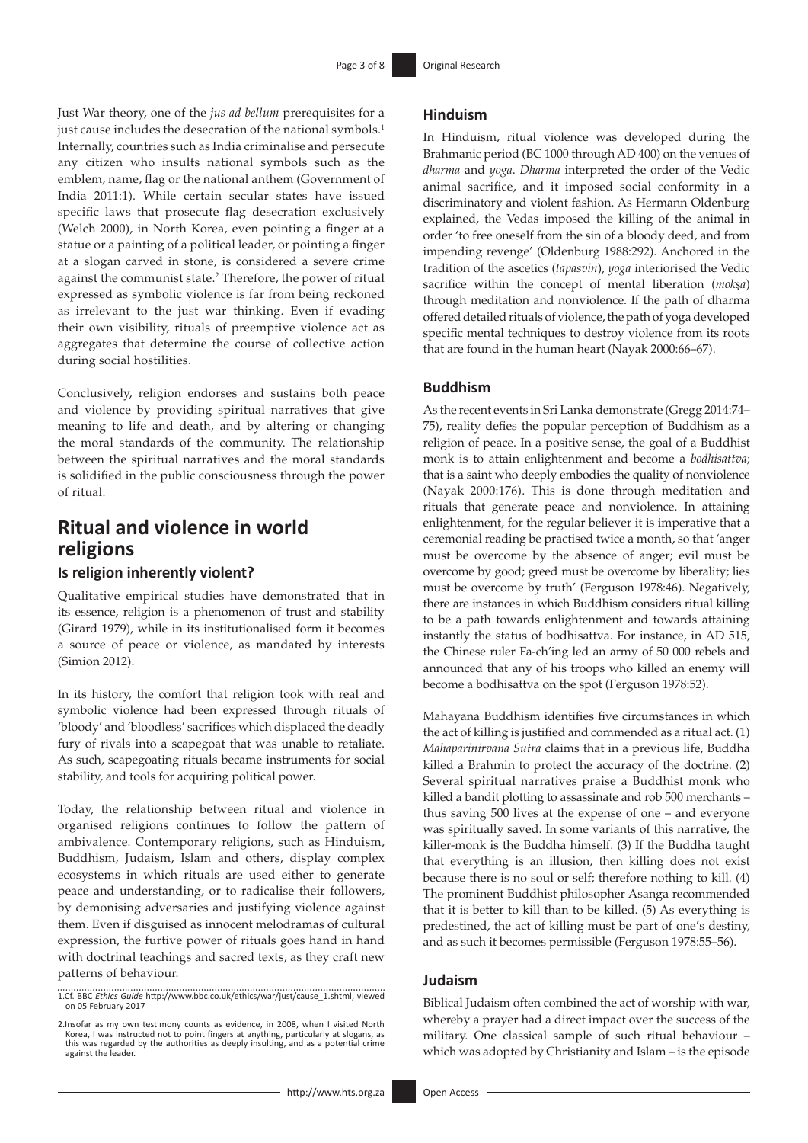Just War theory, one of the *jus ad bellum* prerequisites for a just cause includes the desecration of the national symbols.<sup>1</sup> Internally, countries such as India criminalise and persecute any citizen who insults national symbols such as the emblem, name, flag or the national anthem (Government of India 2011:1). While certain secular states have issued specific laws that prosecute flag desecration exclusively (Welch 2000), in North Korea, even pointing a finger at a statue or a painting of a political leader, or pointing a finger at a slogan carved in stone, is considered a severe crime against the communist state.<sup>2</sup> Therefore, the power of ritual expressed as symbolic violence is far from being reckoned as irrelevant to the just war thinking. Even if evading their own visibility, rituals of preemptive violence act as aggregates that determine the course of collective action during social hostilities.

Conclusively, religion endorses and sustains both peace and violence by providing spiritual narratives that give meaning to life and death, and by altering or changing the moral standards of the community. The relationship between the spiritual narratives and the moral standards is solidified in the public consciousness through the power of ritual.

# **Ritual and violence in world religions**

### **Is religion inherently violent?**

Qualitative empirical studies have demonstrated that in its essence, religion is a phenomenon of trust and stability (Girard 1979), while in its institutionalised form it becomes a source of peace or violence, as mandated by interests (Simion 2012).

In its history, the comfort that religion took with real and symbolic violence had been expressed through rituals of 'bloody' and 'bloodless' sacrifices which displaced the deadly fury of rivals into a scapegoat that was unable to retaliate. As such, scapegoating rituals became instruments for social stability, and tools for acquiring political power.

Today, the relationship between ritual and violence in organised religions continues to follow the pattern of ambivalence. Contemporary religions, such as Hinduism, Buddhism, Judaism, Islam and others, display complex ecosystems in which rituals are used either to generate peace and understanding, or to radicalise their followers, by demonising adversaries and justifying violence against them. Even if disguised as innocent melodramas of cultural expression, the furtive power of rituals goes hand in hand with doctrinal teachings and sacred texts, as they craft new patterns of behaviour.

1.Cf. BBC *Ethics Guide* [http://www.bbc.co.uk/ethics/war/just/cause\\_1.shtml](http://www.bbc.co.uk/ethics/war/just/cause_1.shtml), viewed on 05 February 2017

#### **Hinduism**

In Hinduism, ritual violence was developed during the Brahmanic period (BC 1000 through AD 400) on the venues of *dharma* and *yoga*. *Dharma* interpreted the order of the Vedic animal sacrifice, and it imposed social conformity in a discriminatory and violent fashion. As Hermann Oldenburg explained, the Vedas imposed the killing of the animal in order 'to free oneself from the sin of a bloody deed, and from impending revenge' (Oldenburg 1988:292). Anchored in the tradition of the ascetics (*tapasvin*), *yoga* interiorised the Vedic sacrifice within the concept of mental liberation (*mok*ş*a*) through meditation and nonviolence. If the path of dharma offered detailed rituals of violence, the path of yoga developed specific mental techniques to destroy violence from its roots that are found in the human heart (Nayak 2000:66–67).

#### **Buddhism**

As the recent events in Sri Lanka demonstrate (Gregg 2014:74– 75), reality defies the popular perception of Buddhism as a religion of peace. In a positive sense, the goal of a Buddhist monk is to attain enlightenment and become a *bodhisattva*; that is a saint who deeply embodies the quality of nonviolence (Nayak 2000:176). This is done through meditation and rituals that generate peace and nonviolence. In attaining enlightenment, for the regular believer it is imperative that a ceremonial reading be practised twice a month, so that 'anger must be overcome by the absence of anger; evil must be overcome by good; greed must be overcome by liberality; lies must be overcome by truth' (Ferguson 1978:46). Negatively, there are instances in which Buddhism considers ritual killing to be a path towards enlightenment and towards attaining instantly the status of bodhisattva. For instance, in AD 515, the Chinese ruler Fa-ch'ing led an army of 50 000 rebels and announced that any of his troops who killed an enemy will become a bodhisattva on the spot (Ferguson 1978:52).

Mahayana Buddhism identifies five circumstances in which the act of killing is justified and commended as a ritual act. (1) *Mahaparinirvana Sutra* claims that in a previous life, Buddha killed a Brahmin to protect the accuracy of the doctrine. (2) Several spiritual narratives praise a Buddhist monk who killed a bandit plotting to assassinate and rob 500 merchants – thus saving 500 lives at the expense of one – and everyone was spiritually saved. In some variants of this narrative, the killer-monk is the Buddha himself. (3) If the Buddha taught that everything is an illusion, then killing does not exist because there is no soul or self; therefore nothing to kill. (4) The prominent Buddhist philosopher Asanga recommended that it is better to kill than to be killed. (5) As everything is predestined, the act of killing must be part of one's destiny, and as such it becomes permissible (Ferguson 1978:55–56).

#### **Judaism**

Biblical Judaism often combined the act of worship with war, whereby a prayer had a direct impact over the success of the military. One classical sample of such ritual behaviour – which was adopted by Christianity and Islam – is the episode

<sup>2.</sup>Insofar as my own testimony counts as evidence, in 2008, when I visited North Korea, I was instructed not to point fingers at anything, particularly at slogans, as this was regarded by the authorities as deeply insulting, and as a potential crime against the leader.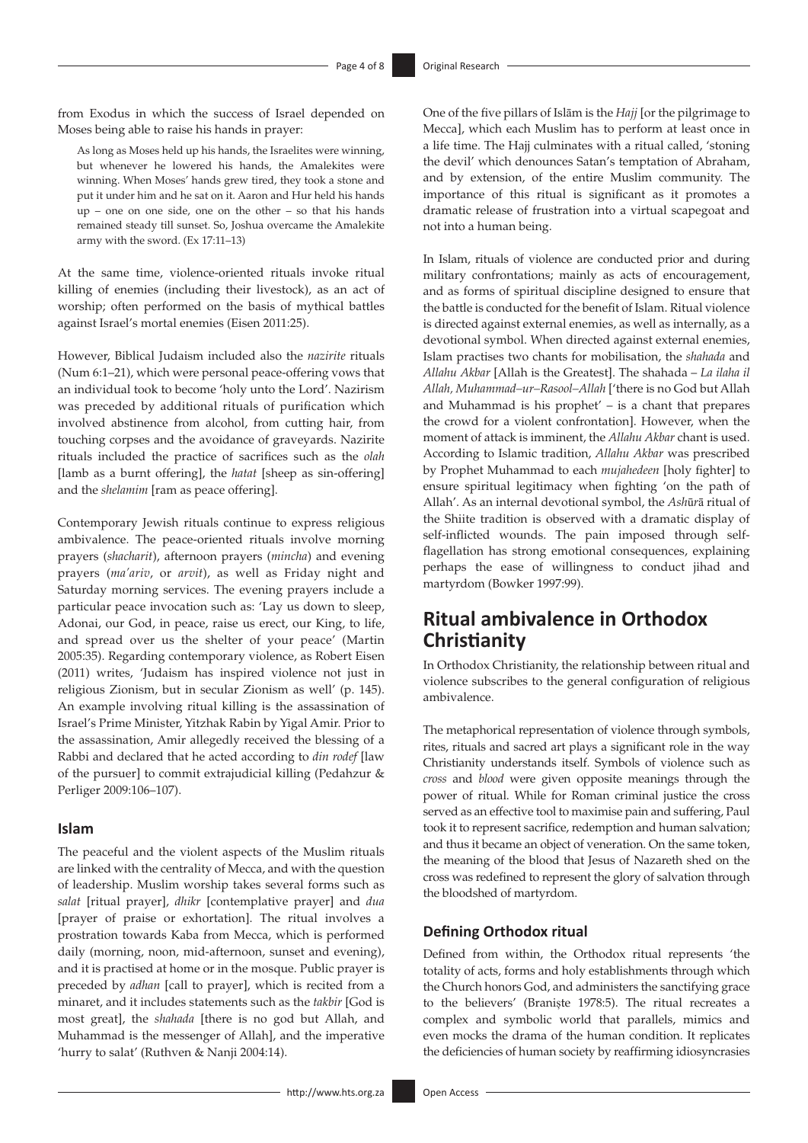from Exodus in which the success of Israel depended on Moses being able to raise his hands in prayer:

As long as Moses held up his hands, the Israelites were winning, but whenever he lowered his hands, the Amalekites were winning. When Moses' hands grew tired, they took a stone and put it under him and he sat on it. Aaron and Hur held his hands up – one on one side, one on the other – so that his hands remained steady till sunset. So, Joshua overcame the Amalekite army with the sword. (Ex 17:11–13)

At the same time, violence-oriented rituals invoke ritual killing of enemies (including their livestock), as an act of worship; often performed on the basis of mythical battles against Israel's mortal enemies (Eisen 2011:25).

However, Biblical Judaism included also the *nazirite* rituals (Num 6:1–21), which were personal peace-offering vows that an individual took to become 'holy unto the Lord'. Nazirism was preceded by additional rituals of purification which involved abstinence from alcohol, from cutting hair, from touching corpses and the avoidance of graveyards. Nazirite rituals included the practice of sacrifices such as the *olah*  [lamb as a burnt offering], the *hatat* [sheep as sin-offering] and the *shelamim* [ram as peace offering].

Contemporary Jewish rituals continue to express religious ambivalence. The peace-oriented rituals involve morning prayers (*shacharit*), afternoon prayers (*mincha*) and evening prayers (*ma'ariv*, or *arvit*), as well as Friday night and Saturday morning services. The evening prayers include a particular peace invocation such as: 'Lay us down to sleep, Adonai, our God, in peace, raise us erect, our King, to life, and spread over us the shelter of your peace' (Martin 2005:35). Regarding contemporary violence, as Robert Eisen (2011) writes, 'Judaism has inspired violence not just in religious Zionism, but in secular Zionism as well' (p. 145). An example involving ritual killing is the assassination of Israel's Prime Minister, Yitzhak Rabin by Yigal Amir. Prior to the assassination, Amir allegedly received the blessing of a Rabbi and declared that he acted according to *din rodef* [law of the pursuer] to commit extrajudicial killing (Pedahzur & Perliger 2009:106–107).

### **Islam**

The peaceful and the violent aspects of the Muslim rituals are linked with the centrality of Mecca, and with the question of leadership. Muslim worship takes several forms such as *salat* [ritual prayer], *dhikr* [contemplative prayer] and *dua*  [prayer of praise or exhortation]. The ritual involves a prostration towards Kaba from Mecca, which is performed daily (morning, noon, mid-afternoon, sunset and evening), and it is practised at home or in the mosque. Public prayer is preceded by *adhan* [call to prayer], which is recited from a minaret, and it includes statements such as the *takbir* [God is most great], the *shahada* [there is no god but Allah, and Muhammad is the messenger of Allah], and the imperative 'hurry to salat' (Ruthven & Nanji 2004:14).

One of the five pillars of Islām is the *Hajj* [or the pilgrimage to Mecca], which each Muslim has to perform at least once in a life time. The Hajj culminates with a ritual called, 'stoning the devil' which denounces Satan's temptation of Abraham, and by extension, of the entire Muslim community. The importance of this ritual is significant as it promotes a dramatic release of frustration into a virtual scapegoat and not into a human being.

In Islam, rituals of violence are conducted prior and during military confrontations; mainly as acts of encouragement, and as forms of spiritual discipline designed to ensure that the battle is conducted for the benefit of Islam. Ritual violence is directed against external enemies, as well as internally, as a devotional symbol. When directed against external enemies, Islam practises two chants for mobilisation, the *shahada* and *Allahu Akbar* [Allah is the Greatest]. The shahada – *La ilaha il Allah, Muhammad–ur–Rasool–Allah* ['there is no God but Allah and Muhammad is his prophet' – is a chant that prepares the crowd for a violent confrontation]. However, when the moment of attack is imminent, the *Allahu Akbar* chant is used. According to Islamic tradition, *Allahu Akbar* was prescribed by Prophet Muhammad to each *mujahedeen* [holy fighter] to ensure spiritual legitimacy when fighting 'on the path of Allah'. As an internal devotional symbol, the *Ash*ū*r*ā ritual of the Shiite tradition is observed with a dramatic display of self-inflicted wounds. The pain imposed through selfflagellation has strong emotional consequences, explaining perhaps the ease of willingness to conduct jihad and martyrdom (Bowker 1997:99).

# **Ritual ambivalence in Orthodox Christianity**

In Orthodox Christianity, the relationship between ritual and violence subscribes to the general configuration of religious ambivalence.

The metaphorical representation of violence through symbols, rites, rituals and sacred art plays a significant role in the way Christianity understands itself. Symbols of violence such as *cross* and *blood* were given opposite meanings through the power of ritual. While for Roman criminal justice the cross served as an effective tool to maximise pain and suffering, Paul took it to represent sacrifice, redemption and human salvation; and thus it became an object of veneration. On the same token, the meaning of the blood that Jesus of Nazareth shed on the cross was redefined to represent the glory of salvation through the bloodshed of martyrdom.

### **Defining Orthodox ritual**

Defined from within, the Orthodox ritual represents 'the totality of acts, forms and holy establishments through which the Church honors God, and administers the sanctifying grace to the believers' (Braniște 1978:5). The ritual recreates a complex and symbolic world that parallels, mimics and even mocks the drama of the human condition. It replicates the deficiencies of human society by reaffirming idiosyncrasies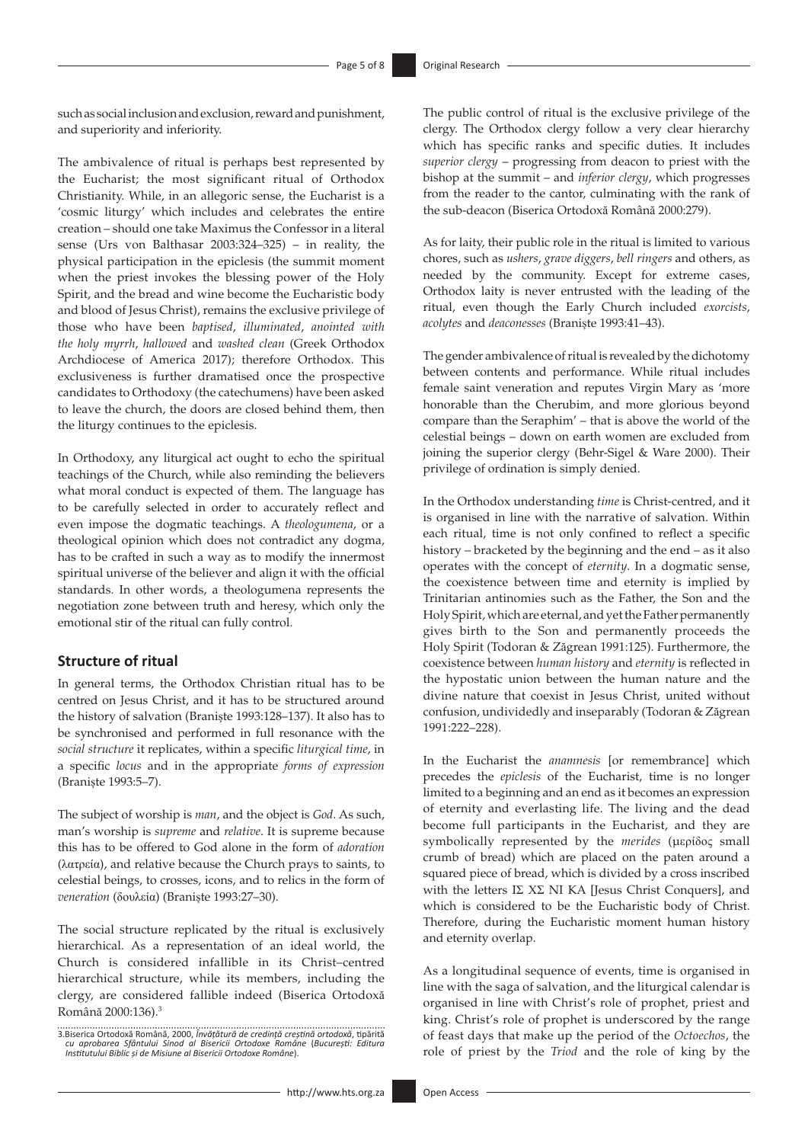such as social inclusion and exclusion, reward and punishment, and superiority and inferiority.

The ambivalence of ritual is perhaps best represented by the Eucharist; the most significant ritual of Orthodox Christianity. While, in an allegoric sense, the Eucharist is a 'cosmic liturgy' which includes and celebrates the entire creation – should one take Maximus the Confessor in a literal sense (Urs von Balthasar 2003:324–325) – in reality, the physical participation in the epiclesis (the summit moment when the priest invokes the blessing power of the Holy Spirit, and the bread and wine become the Eucharistic body and blood of Jesus Christ), remains the exclusive privilege of those who have been *baptised*, *illuminated*, *anointed with the holy myrrh*, *hallowed* and *washed clean* (Greek Orthodox Archdiocese of America 2017); therefore Orthodox. This exclusiveness is further dramatised once the prospective candidates to Orthodoxy (the catechumens) have been asked to leave the church, the doors are closed behind them, then the liturgy continues to the epiclesis.

In Orthodoxy, any liturgical act ought to echo the spiritual teachings of the Church, while also reminding the believers what moral conduct is expected of them. The language has to be carefully selected in order to accurately reflect and even impose the dogmatic teachings. A *theologumena*, or a theological opinion which does not contradict any dogma, has to be crafted in such a way as to modify the innermost spiritual universe of the believer and align it with the official standards. In other words, a theologumena represents the negotiation zone between truth and heresy, which only the emotional stir of the ritual can fully control.

### **Structure of ritual**

In general terms, the Orthodox Christian ritual has to be centred on Jesus Christ, and it has to be structured around the history of salvation (Braniște 1993:128–137). It also has to be synchronised and performed in full resonance with the *social structure* it replicates, within a specific *liturgical time*, in a specific *locus* and in the appropriate *forms of expression* (Braniște 1993:5–7).

The subject of worship is *man*, and the object is *God*. As such, man's worship is *supreme* and *relative*. It is supreme because this has to be offered to God alone in the form of *adoration* (λατρεία), and relative because the Church prays to saints, to celestial beings, to crosses, icons, and to relics in the form of *veneration* (δουλεία) (Braniște 1993:27–30).

The social structure replicated by the ritual is exclusively hierarchical. As a representation of an ideal world, the Church is considered infallible in its Christ–centred hierarchical structure, while its members, including the clergy, are considered fallible indeed (Biserica Ortodoxă Română 2000:136).3

The public control of ritual is the exclusive privilege of the clergy. The Orthodox clergy follow a very clear hierarchy which has specific ranks and specific duties. It includes *superior clergy* – progressing from deacon to priest with the bishop at the summit – and *inferior clergy*, which progresses from the reader to the cantor, culminating with the rank of the sub-deacon (Biserica Ortodoxă Română 2000:279).

As for laity, their public role in the ritual is limited to various chores, such as *ushers*, *grave diggers*, *bell ringers* and others, as needed by the community. Except for extreme cases, Orthodox laity is never entrusted with the leading of the ritual, even though the Early Church included *exorcists*, *acolytes* and *deaconesses* (Braniște 1993:41–43).

The gender ambivalence of ritual is revealed by the dichotomy between contents and performance. While ritual includes female saint veneration and reputes Virgin Mary as 'more honorable than the Cherubim, and more glorious beyond compare than the Seraphim' – that is above the world of the celestial beings – down on earth women are excluded from joining the superior clergy (Behr-Sigel & Ware 2000). Their privilege of ordination is simply denied.

In the Orthodox understanding *time* is Christ-centred, and it is organised in line with the narrative of salvation. Within each ritual, time is not only confined to reflect a specific history – bracketed by the beginning and the end – as it also operates with the concept of *eternity*. In a dogmatic sense, the coexistence between time and eternity is implied by Trinitarian antinomies such as the Father, the Son and the Holy Spirit, which are eternal, and yet the Father permanently gives birth to the Son and permanently proceeds the Holy Spirit (Todoran & Zăgrean 1991:125). Furthermore, the coexistence between *human history* and *eternity* is reflected in the hypostatic union between the human nature and the divine nature that coexist in Jesus Christ, united without confusion, undividedly and inseparably (Todoran & Zăgrean 1991:222–228).

In the Eucharist the *anamnesis* [or remembrance] which precedes the *epiclesis* of the Eucharist, time is no longer limited to a beginning and an end as it becomes an expression of eternity and everlasting life. The living and the dead become full participants in the Eucharist, and they are symbolically represented by the *merides* (μερίδος small crumb of bread) which are placed on the paten around a squared piece of bread, which is divided by a cross inscribed with the letters IΣ ΧΣ NI KA [Jesus Christ Conquers], and which is considered to be the Eucharistic body of Christ. Therefore, during the Eucharistic moment human history and eternity overlap.

As a longitudinal sequence of events, time is organised in line with the saga of salvation, and the liturgical calendar is organised in line with Christ's role of prophet, priest and king. Christ's role of prophet is underscored by the range of feast days that make up the period of the *Octoechos*, the role of priest by the *Triod* and the role of king by the

<sup>3.</sup>Biserica Ortodoxă Română, 2000, *Învățătură de credință creștină ortodoxă*, tipărită *cu aprobarea Sfântului Sinod al Bisericii Ortodoxe Române* (*București: Editura Institutului Biblic și de Misiune al Bisericii Ortodoxe Române*).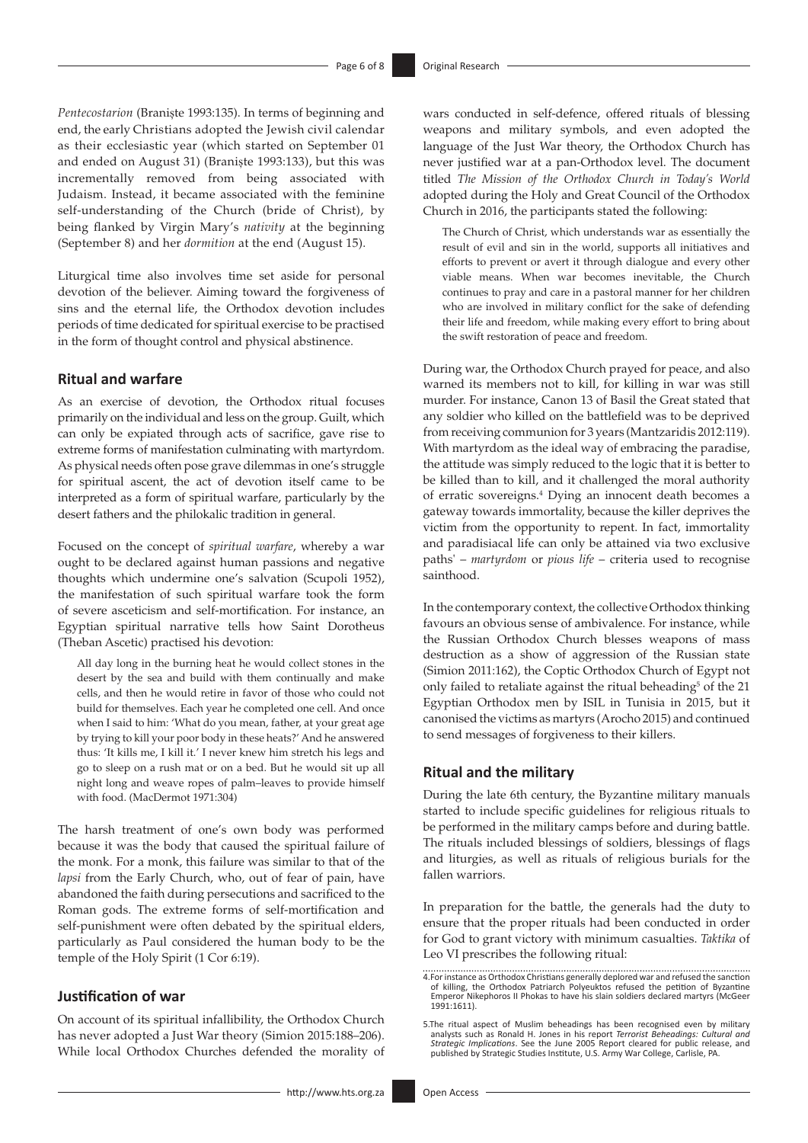*Pentecostarion* (Braniște 1993:135). In terms of beginning and end, the early Christians adopted the Jewish civil calendar as their ecclesiastic year (which started on September 01 and ended on August 31) (Braniște 1993:133), but this was incrementally removed from being associated with Judaism. Instead, it became associated with the feminine self-understanding of the Church (bride of Christ), by being flanked by Virgin Mary's *nativity* at the beginning (September 8) and her *dormition* at the end (August 15).

Liturgical time also involves time set aside for personal devotion of the believer. Aiming toward the forgiveness of sins and the eternal life, the Orthodox devotion includes periods of time dedicated for spiritual exercise to be practised in the form of thought control and physical abstinence.

### **Ritual and warfare**

As an exercise of devotion, the Orthodox ritual focuses primarily on the individual and less on the group. Guilt, which can only be expiated through acts of sacrifice, gave rise to extreme forms of manifestation culminating with martyrdom. As physical needs often pose grave dilemmas in one's struggle for spiritual ascent, the act of devotion itself came to be interpreted as a form of spiritual warfare, particularly by the desert fathers and the philokalic tradition in general.

Focused on the concept of *spiritual warfare*, whereby a war ought to be declared against human passions and negative thoughts which undermine one's salvation (Scupoli 1952), the manifestation of such spiritual warfare took the form of severe asceticism and self-mortification. For instance, an Egyptian spiritual narrative tells how Saint Dorotheus (Theban Ascetic) practised his devotion:

All day long in the burning heat he would collect stones in the desert by the sea and build with them continually and make cells, and then he would retire in favor of those who could not build for themselves. Each year he completed one cell. And once when I said to him: 'What do you mean, father, at your great age by trying to kill your poor body in these heats?' And he answered thus: 'It kills me, I kill it.' I never knew him stretch his legs and go to sleep on a rush mat or on a bed. But he would sit up all night long and weave ropes of palm–leaves to provide himself with food. (MacDermot 1971:304)

The harsh treatment of one's own body was performed because it was the body that caused the spiritual failure of the monk. For a monk, this failure was similar to that of the *lapsi* from the Early Church, who, out of fear of pain, have abandoned the faith during persecutions and sacrificed to the Roman gods. The extreme forms of self-mortification and self-punishment were often debated by the spiritual elders, particularly as Paul considered the human body to be the temple of the Holy Spirit (1 Cor 6:19).

#### **Justification of war**

On account of its spiritual infallibility, the Orthodox Church has never adopted a Just War theory (Simion 2015:188–206). While local Orthodox Churches defended the morality of

wars conducted in self-defence, offered rituals of blessing weapons and military symbols, and even adopted the language of the Just War theory, the Orthodox Church has never justified war at a pan-Orthodox level. The document titled *The Mission of the Orthodox Church in Today's World* adopted during the Holy and Great Council of the Orthodox Church in 2016, the participants stated the following:

The Church of Christ, which understands war as essentially the result of evil and sin in the world, supports all initiatives and efforts to prevent or avert it through dialogue and every other viable means. When war becomes inevitable, the Church continues to pray and care in a pastoral manner for her children who are involved in military conflict for the sake of defending their life and freedom, while making every effort to bring about the swift restoration of peace and freedom.

During war, the Orthodox Church prayed for peace, and also warned its members not to kill, for killing in war was still murder. For instance, Canon 13 of Basil the Great stated that any soldier who killed on the battlefield was to be deprived from receiving communion for 3 years (Mantzaridis 2012:119). With martyrdom as the ideal way of embracing the paradise, the attitude was simply reduced to the logic that it is better to be killed than to kill, and it challenged the moral authority of erratic sovereigns.4 Dying an innocent death becomes a gateway towards immortality, because the killer deprives the victim from the opportunity to repent. In fact, immortality and paradisiacal life can only be attained via two exclusive paths' – *martyrdom* or *pious life* – criteria used to recognise sainthood.

In the contemporary context, the collective Orthodox thinking favours an obvious sense of ambivalence. For instance, while the Russian Orthodox Church blesses weapons of mass destruction as a show of aggression of the Russian state (Simion 2011:162), the Coptic Orthodox Church of Egypt not only failed to retaliate against the ritual beheading<sup>5</sup> of the 21 Egyptian Orthodox men by ISIL in Tunisia in 2015, but it canonised the victims as martyrs (Arocho 2015) and continued to send messages of forgiveness to their killers.

#### **Ritual and the military**

During the late 6th century, the Byzantine military manuals started to include specific guidelines for religious rituals to be performed in the military camps before and during battle. The rituals included blessings of soldiers, blessings of flags and liturgies, as well as rituals of religious burials for the fallen warriors.

In preparation for the battle, the generals had the duty to ensure that the proper rituals had been conducted in order for God to grant victory with minimum casualties. *Taktika* of Leo VI prescribes the following ritual:

<sup>4.</sup>For instance as Orthodox Christians generally deplored war and refused the sanction<br>of killing, the Orthodox Patriarch Polyeuktos refused the petition of Byzantine<br>Emperor Nikephoros II Phokas to have his slain soldiers 1991:1611).

<sup>5.</sup>The ritual aspect of Muslim beheadings has been recognised even by military analysts such as Ronald H. Jones in his report Terrorist Beheadings: Cultural and Strategic Implications. See the June 2005 Report cleared for p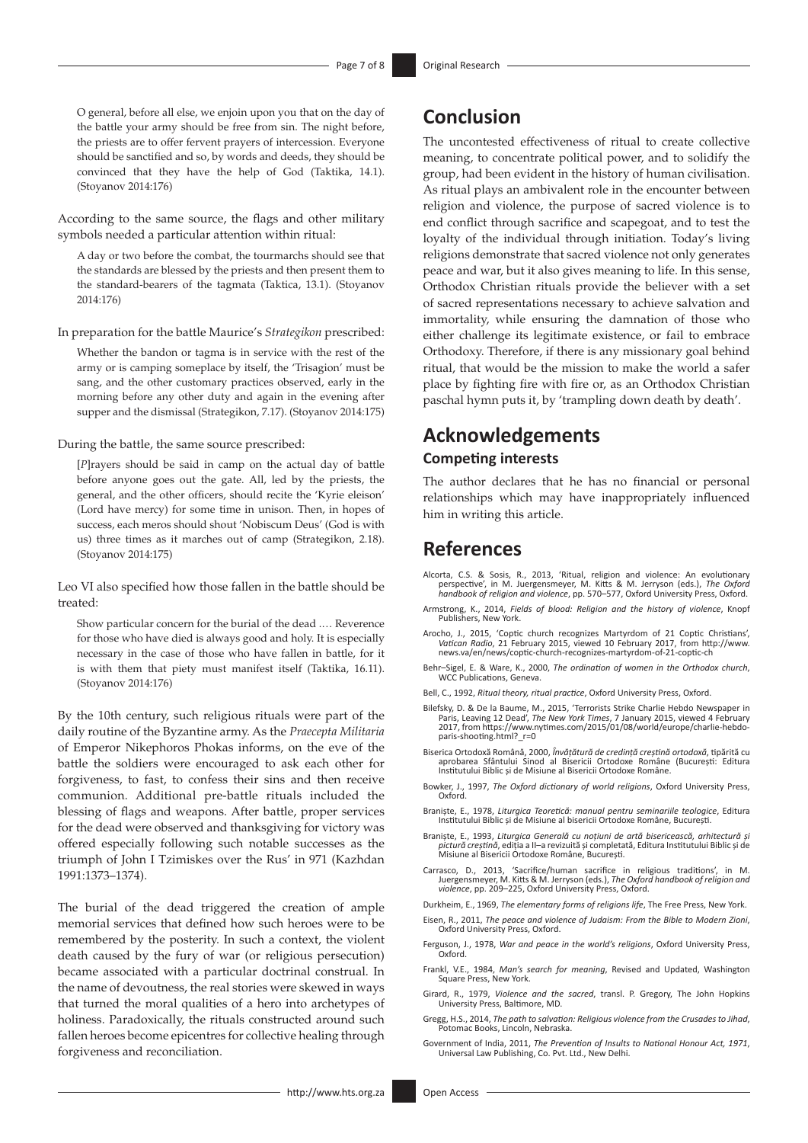O general, before all else, we enjoin upon you that on the day of the battle your army should be free from sin. The night before, the priests are to offer fervent prayers of intercession. Everyone should be sanctified and so, by words and deeds, they should be convinced that they have the help of God (Taktika, 14.1). (Stoyanov 2014:176)

According to the same source, the flags and other military symbols needed a particular attention within ritual:

A day or two before the combat, the tourmarchs should see that the standards are blessed by the priests and then present them to the standard-bearers of the tagmata (Taktica, 13.1). (Stoyanov 2014:176)

In preparation for the battle Maurice's *Strategikon* prescribed:

Whether the bandon or tagma is in service with the rest of the army or is camping someplace by itself, the 'Trisagion' must be sang, and the other customary practices observed, early in the morning before any other duty and again in the evening after supper and the dismissal (Strategikon, 7.17). (Stoyanov 2014:175)

During the battle, the same source prescribed:

[*P*]rayers should be said in camp on the actual day of battle before anyone goes out the gate. All, led by the priests, the general, and the other officers, should recite the 'Kyrie eleison' (Lord have mercy) for some time in unison. Then, in hopes of success, each meros should shout 'Nobiscum Deus' (God is with us) three times as it marches out of camp (Strategikon, 2.18). (Stoyanov 2014:175)

Leo VI also specified how those fallen in the battle should be treated:

Show particular concern for the burial of the dead .… Reverence for those who have died is always good and holy. It is especially necessary in the case of those who have fallen in battle, for it is with them that piety must manifest itself (Taktika, 16.11). (Stoyanov 2014:176)

By the 10th century, such religious rituals were part of the daily routine of the Byzantine army. As the *Praecepta Militaria* of Emperor Nikephoros Phokas informs, on the eve of the battle the soldiers were encouraged to ask each other for forgiveness, to fast, to confess their sins and then receive communion. Additional pre-battle rituals included the blessing of flags and weapons. After battle, proper services for the dead were observed and thanksgiving for victory was offered especially following such notable successes as the triumph of John I Tzimiskes over the Rus' in 971 (Kazhdan 1991:1373–1374).

The burial of the dead triggered the creation of ample memorial services that defined how such heroes were to be remembered by the posterity. In such a context, the violent death caused by the fury of war (or religious persecution) became associated with a particular doctrinal construal. In the name of devoutness, the real stories were skewed in ways that turned the moral qualities of a hero into archetypes of holiness. Paradoxically, the rituals constructed around such fallen heroes become epicentres for collective healing through forgiveness and reconciliation.

# **Conclusion**

The uncontested effectiveness of ritual to create collective meaning, to concentrate political power, and to solidify the group, had been evident in the history of human civilisation. As ritual plays an ambivalent role in the encounter between religion and violence, the purpose of sacred violence is to end conflict through sacrifice and scapegoat, and to test the loyalty of the individual through initiation. Today's living religions demonstrate that sacred violence not only generates peace and war, but it also gives meaning to life. In this sense, Orthodox Christian rituals provide the believer with a set of sacred representations necessary to achieve salvation and immortality, while ensuring the damnation of those who either challenge its legitimate existence, or fail to embrace Orthodoxy. Therefore, if there is any missionary goal behind ritual, that would be the mission to make the world a safer place by fighting fire with fire or, as an Orthodox Christian paschal hymn puts it, by 'trampling down death by death'.

## **Acknowledgements Competing interests**

The author declares that he has no financial or personal relationships which may have inappropriately influenced him in writing this article.

### **References**

- Alcorta, C.S. & Sosis, R., 2013, 'Ritual, religion and violence: An evolutionary<br>perspective', in M. Juergensmeyer, M. Kitts & M. Jerryson (eds.), The Oxford<br>handbook of religion and violence, pp. 570–577, Oxford Universit
- Armstrong, K., 2014, *Fields of blood: Religion and the history of violence*, Knopf Publishers, New York.
- Arocho, J., 2015, 'Coptic church recognizes Martyrdom of 21 Coptic Christians', *Vatican Radio*, 21 February 2015, viewed 10 February 2017, from [http://www.](http://www.news.va/en/news/coptic-church-recognizes-martyrdom-of-21-coptic-ch) [news.va/en/news/coptic-church-recognizes-martyrdom-of-21-coptic-ch](http://www.news.va/en/news/coptic-church-recognizes-martyrdom-of-21-coptic-ch)
- Behr–Sigel, E. & Ware, K., 2000, *The ordination of women in the Orthodox church*, WCC Publications, Geneva.
- Bell, C., 1992, *Ritual theory, ritual practice*, Oxford University Press, Oxford.
- Bilefsky, D. & De la Baume, M., 2015, 'Terrorists Strike Charlie Hebdo Newspaper in Paris, Leaving 12 Dead', *The New York Times*, 7 January 2015, viewed 4 February 2017, from [https://www.nytimes.com/2015/01/08/world/europe/charlie-hebdo](https://www.nytimes.com/2015/01/08/world/europe/charlie-hebdo-paris-shooting.html?_r=0)[paris-shooting.html?\\_r=0](https://www.nytimes.com/2015/01/08/world/europe/charlie-hebdo-paris-shooting.html?_r=0)
- Biserica Ortodoxă Română, 2000, *Învățătură de credință creștină ortodoxă*, tipărită cu aprobarea Sfântului Sinod al Bisericii Ortodoxe Române (București: Editura Institutului Biblic și de Misiune al Bisericii Ortodoxe Române.
- Bowker, J., 1997, *The Oxford dictionary of world religions*, Oxford University Press, Oxford.
- Braniște, E., 1978, *Liturgica Teoretică: manual pentru seminariile teologice*, Editura Institutului Biblic și de Misiune al bisericii Ortodoxe Române, București.
- Braniște, E., 1993, *Liturgica Generală cu noțiuni de artă bisericească, arhitectură și pictură creștină*, ediția a II–a revizuită și completată, Editura Institutului Biblic și de Misiune al Bisericii Ortodoxe Române, București.
- Carrasco, D., 2013, 'Sacrifice/human sacrifice in religious traditions', in M. Juergensmeyer, M. Kitts & M. Jerryson (eds.), *The Oxford handbook of religion and violence*, pp. 209–225, Oxford University Press, Oxford.
- Durkheim, E., 1969, *The elementary forms of religions life*, The Free Press, New York.
- Eisen, R., 2011, *The peace and violence of Judaism: From the Bible to Modern Zioni*, Oxford University Press, Oxford.
- Ferguson, J., 1978, *War and peace in the world's religions*, Oxford University Press, Oxford.
- Frankl, V.E., 1984, *Man's search for meaning*, Revised and Updated, Washington Square Press, New York.
- Girard, R., 1979, *Violence and the sacred*, transl. P. Gregory, The John Hopkins University Press, Baltimore, MD.
- Gregg, H.S., 2014, *The path to salvation: Religious violence from the Crusades to Jihad*, Potomac Books, Lincoln, Nebraska.
- Government of India, 2011, *The Prevention of Insults to National Honour Act, 1971*, Universal Law Publishing, Co. Pvt. Ltd., New Delhi.